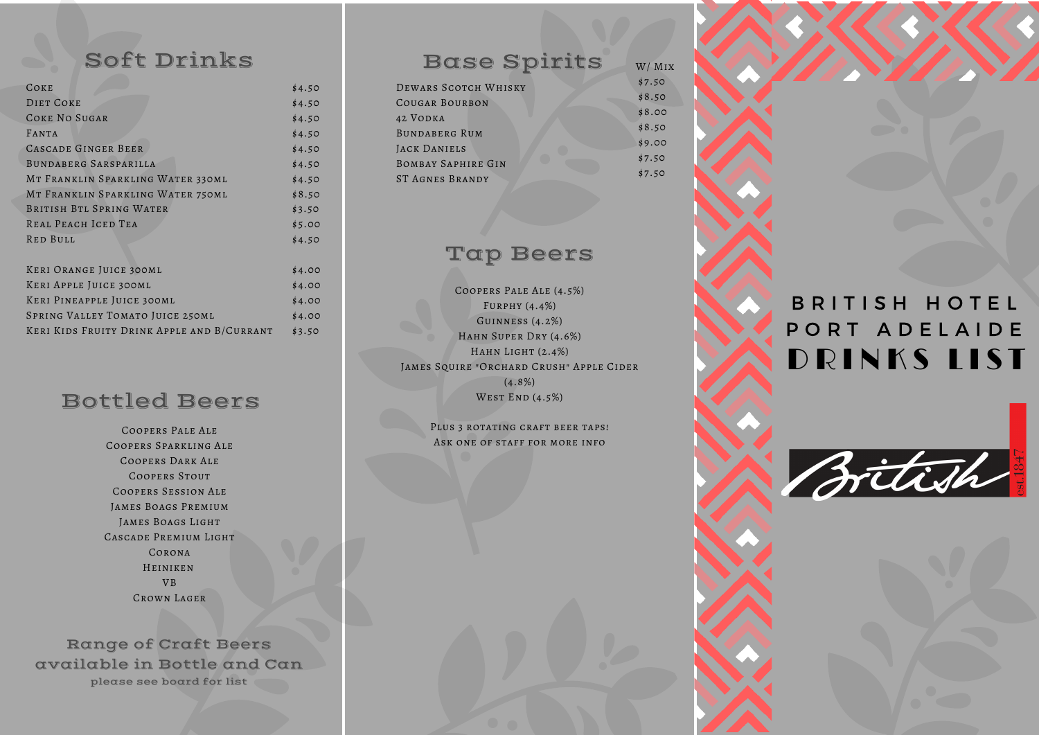# Base Spirits

# Bottled Beers

Soft Drinks

| COKE                              | \$4.50 |
|-----------------------------------|--------|
| DIET COKE                         | \$4.50 |
| COKE NO SUGAR                     | \$4.50 |
| FANTA                             | \$4.50 |
| CASCADE GINGER BEER               | \$4.50 |
| BUNDABERG SARSPARILLA             | \$4.50 |
| MT FRANKLIN SPARKLING WATER 330ML | \$4.50 |
| MT FRANKLIN SPARKLING WATER 750ML | \$8.50 |
| BRITISH BTL SPRING WATER          | \$3.50 |
| REAL PEACH ICED TEA               | \$5.00 |
| RED BULL                          | \$4.50 |
|                                   |        |
| KERI ORANGE JUICE 300ML           | \$4.00 |

Range of Craft Beers available in Bottle and Can please see board for list

DEWARS SCOTCH WHISKY Cougar Bourbon 42 Vodka Bundaberg Rum JACK DANIELS Bombay Saphire Gin ST Agnes Brandy

Coopers Pale Ale (4.5%) Furphy (4.4%) Guinness (4.2%) HAHN SUPER DRY (4.6%) HAHN LIGHT  $(2.4\%)$ James Squire "Orchard Crush" Apple Cider  $(4.8\%)$ WEST END  $(4.5\%)$ 

# Top Beers

Coopers Pale Ale Coopers Sparkling Ale Coopers Dark Ale COOPERS STOUT Coopers Session Ale JAMES BOAGS PREMIUM JAMES BOAGS LIGHT CASCADE PREMIUM LIGHT Corona Heiniken VB Crown Lager

Keri Apple Juice 300ml Keri Pineapple Juice 300ml SPRING VALLEY TOMATO JUICE 250ML Keri Kids Fruity Drink Apple and B/Currant \$4.00 \$4.00 \$4.00 \$3.50

> PLUS 3 ROTATING CRAFT BEER TAPS! Ask one of staff for more info



\$7.50 \$8.50 \$8.00 \$8.50 \$9.00 \$7.50 \$7.50 W/ Mix